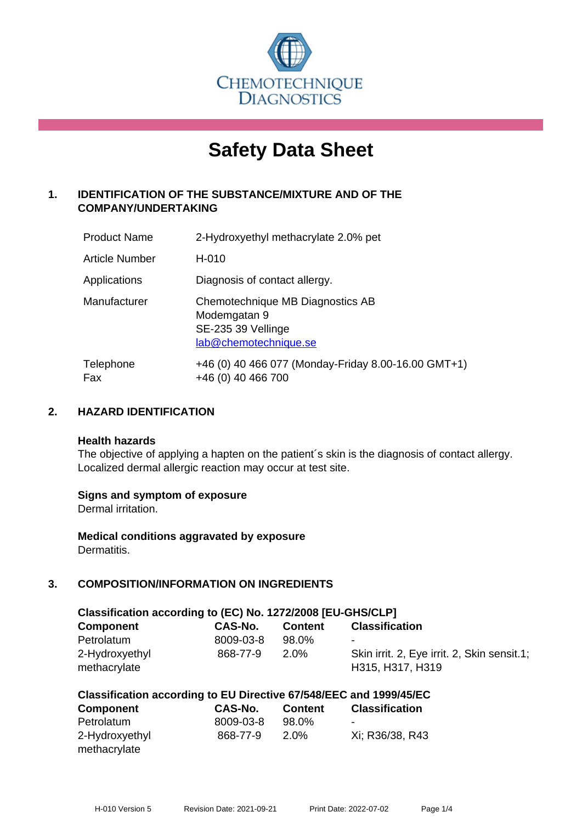

# **Safety Data Sheet**

# **1. IDENTIFICATION OF THE SUBSTANCE/MIXTURE AND OF THE COMPANY/UNDERTAKING**

| <b>Product Name</b> | 2-Hydroxyethyl methacrylate 2.0% pet                                                            |
|---------------------|-------------------------------------------------------------------------------------------------|
| Article Number      | H-010                                                                                           |
| Applications        | Diagnosis of contact allergy.                                                                   |
| Manufacturer        | Chemotechnique MB Diagnostics AB<br>Modemgatan 9<br>SE-235 39 Vellinge<br>lab@chemotechnique.se |
| Telephone<br>Fax    | +46 (0) 40 466 077 (Monday-Friday 8.00-16.00 GMT+1)<br>+46 (0) 40 466 700                       |

## **2. HAZARD IDENTIFICATION**

#### **Health hazards**

The objective of applying a hapten on the patient's skin is the diagnosis of contact allergy. Localized dermal allergic reaction may occur at test site.

## **Signs and symptom of exposure**

Dermal irritation.

**Medical conditions aggravated by exposure** Dermatitis.

# **3. COMPOSITION/INFORMATION ON INGREDIENTS**

| Classification according to (EC) No. 1272/2008 [EU-GHS/CLP] |                |                |                                                                 |
|-------------------------------------------------------------|----------------|----------------|-----------------------------------------------------------------|
| <b>Component</b>                                            | <b>CAS-No.</b> | <b>Content</b> | <b>Classification</b>                                           |
| Petrolatum                                                  | 8009-03-8      | 98.0%          | $\overline{\phantom{a}}$                                        |
| 2-Hydroxyethyl<br>methacrylate                              | 868-77-9       | $2.0\%$        | Skin irrit. 2, Eye irrit. 2, Skin sensit.1;<br>H315, H317, H319 |

| Classification according to EU Directive 67/548/EEC and 1999/45/EC |  |  |  |
|--------------------------------------------------------------------|--|--|--|
|--------------------------------------------------------------------|--|--|--|

| <b>Component</b> | CAS-No.   | <b>Content</b> | <b>Classification</b> |
|------------------|-----------|----------------|-----------------------|
| Petrolatum       | 8009-03-8 | 98.0%          | $\,$                  |
| 2-Hydroxyethyl   | 868-77-9  | $2.0\%$        | Xi: R36/38, R43       |
| methacrylate     |           |                |                       |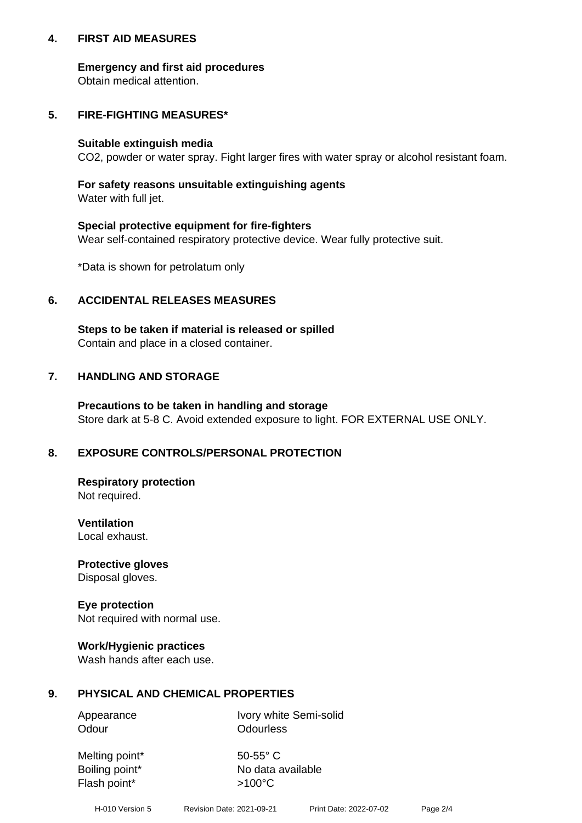## **4. FIRST AID MEASURES**

## **Emergency and first aid procedures**

Obtain medical attention.

# **5. FIRE-FIGHTING MEASURES\***

#### **Suitable extinguish media**

CO2, powder or water spray. Fight larger fires with water spray or alcohol resistant foam.

# **For safety reasons unsuitable extinguishing agents**

Water with full jet.

## **Special protective equipment for fire-fighters**

Wear self-contained respiratory protective device. Wear fully protective suit.

\*Data is shown for petrolatum only

## **6. ACCIDENTAL RELEASES MEASURES**

**Steps to be taken if material is released or spilled** Contain and place in a closed container.

# **7. HANDLING AND STORAGE**

**Precautions to be taken in handling and storage** Store dark at 5-8 C. Avoid extended exposure to light. FOR EXTERNAL USE ONLY.

# **8. EXPOSURE CONTROLS/PERSONAL PROTECTION**

**Respiratory protection** Not required.

**Ventilation** Local exhaust.

**Protective gloves** Disposal gloves.

#### **Eye protection** Not required with normal use.

## **Work/Hygienic practices**

Wash hands after each use.

## **9. PHYSICAL AND CHEMICAL PROPERTIES**

Odour **Odourless** 

Appearance Ivory white Semi-solid

Melting point\* 50-55° C Flash point\*  $>100^{\circ}$ C

Boiling point\* No data available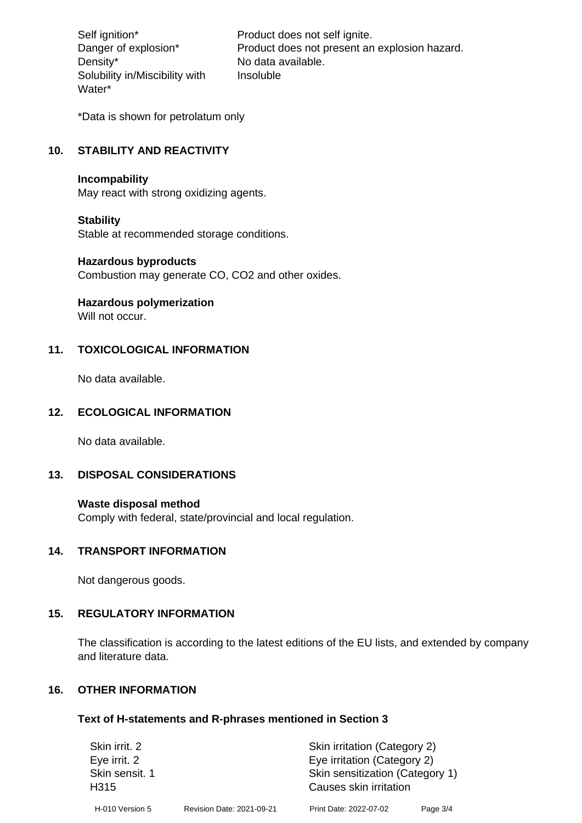Density\* No data available. Solubility in/Miscibility with Water\*

Self ignition\* Product does not self ignite. Danger of explosion\* Product does not present an explosion hazard. Insoluble

\*Data is shown for petrolatum only

# **10. STABILITY AND REACTIVITY**

#### **Incompability**

May react with strong oxidizing agents.

#### **Stability**

Stable at recommended storage conditions.

#### **Hazardous byproducts**

Combustion may generate CO, CO2 and other oxides.

**Hazardous polymerization**

Will not occur.

## **11. TOXICOLOGICAL INFORMATION**

No data available.

## **12. ECOLOGICAL INFORMATION**

No data available.

## **13. DISPOSAL CONSIDERATIONS**

#### **Waste disposal method**

Comply with federal, state/provincial and local regulation.

#### **14. TRANSPORT INFORMATION**

Not dangerous goods.

## **15. REGULATORY INFORMATION**

The classification is according to the latest editions of the EU lists, and extended by company and literature data.

#### **16. OTHER INFORMATION**

#### **Text of H-statements and R-phrases mentioned in Section 3**

| Skin irrit. 2                      |                           | Skin irritation (Category 2)                              |          |
|------------------------------------|---------------------------|-----------------------------------------------------------|----------|
| Eye irrit. 2                       |                           | Eye irritation (Category 2)                               |          |
| Skin sensit. 1<br>H <sub>315</sub> |                           | Skin sensitization (Category 1)<br>Causes skin irritation |          |
| H-010 Version 5                    | Revision Date: 2021-09-21 | Print Date: 2022-07-02                                    | Page 3/4 |